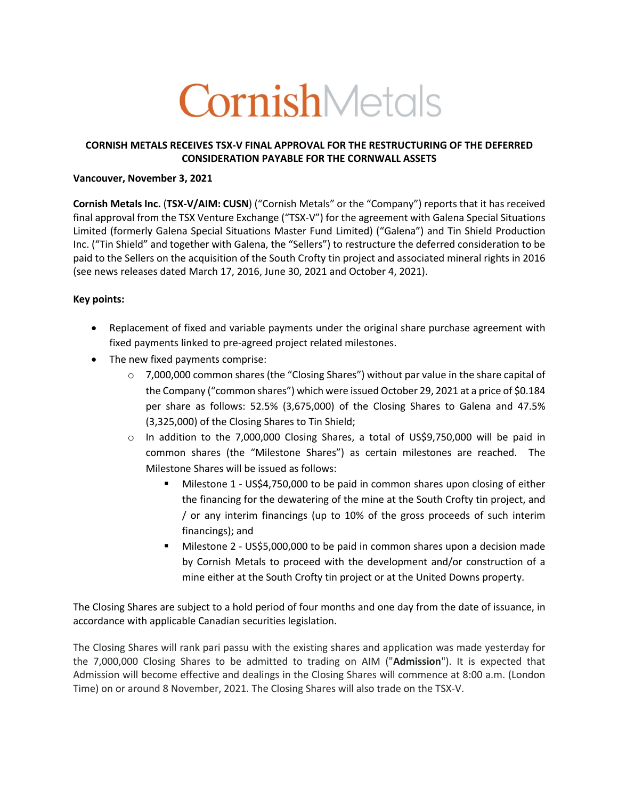# CornishMetals

## **CORNISH METALS RECEIVES TSX-V FINAL APPROVAL FOR THE RESTRUCTURING OF THE DEFERRED CONSIDERATION PAYABLE FOR THE CORNWALL ASSETS**

## **Vancouver, November 3, 2021**

**Cornish Metals Inc.** (**TSX-V/AIM: CUSN**) ("Cornish Metals" or the "Company") reports that it has received final approval from the TSX Venture Exchange ("TSX-V") for the agreement with Galena Special Situations Limited (formerly Galena Special Situations Master Fund Limited) ("Galena") and Tin Shield Production Inc. ("Tin Shield" and together with Galena, the "Sellers") to restructure the deferred consideration to be paid to the Sellers on the acquisition of the South Crofty tin project and associated mineral rights in 2016 (see news releases dated March 17, 2016, June 30, 2021 and October 4, 2021).

## **Key points:**

- Replacement of fixed and variable payments under the original share purchase agreement with fixed payments linked to pre-agreed project related milestones.
- The new fixed payments comprise:
	- $\circ$  7,000,000 common shares (the "Closing Shares") without par value in the share capital of the Company ("common shares") which were issued October 29, 2021 at a price of \$0.184 per share as follows: 52.5% (3,675,000) of the Closing Shares to Galena and 47.5% (3,325,000) of the Closing Shares to Tin Shield;
	- o In addition to the 7,000,000 Closing Shares, a total of US\$9,750,000 will be paid in common shares (the "Milestone Shares") as certain milestones are reached. The Milestone Shares will be issued as follows:
		- § Milestone 1 US\$4,750,000 to be paid in common shares upon closing of either the financing for the dewatering of the mine at the South Crofty tin project, and / or any interim financings (up to 10% of the gross proceeds of such interim financings); and
		- § Milestone 2 US\$5,000,000 to be paid in common shares upon a decision made by Cornish Metals to proceed with the development and/or construction of a mine either at the South Crofty tin project or at the United Downs property.

The Closing Shares are subject to a hold period of four months and one day from the date of issuance, in accordance with applicable Canadian securities legislation.

The Closing Shares will rank pari passu with the existing shares and application was made yesterday for the 7,000,000 Closing Shares to be admitted to trading on AIM ("**Admission**"). It is expected that Admission will become effective and dealings in the Closing Shares will commence at 8:00 a.m. (London Time) on or around 8 November, 2021. The Closing Shares will also trade on the TSX-V.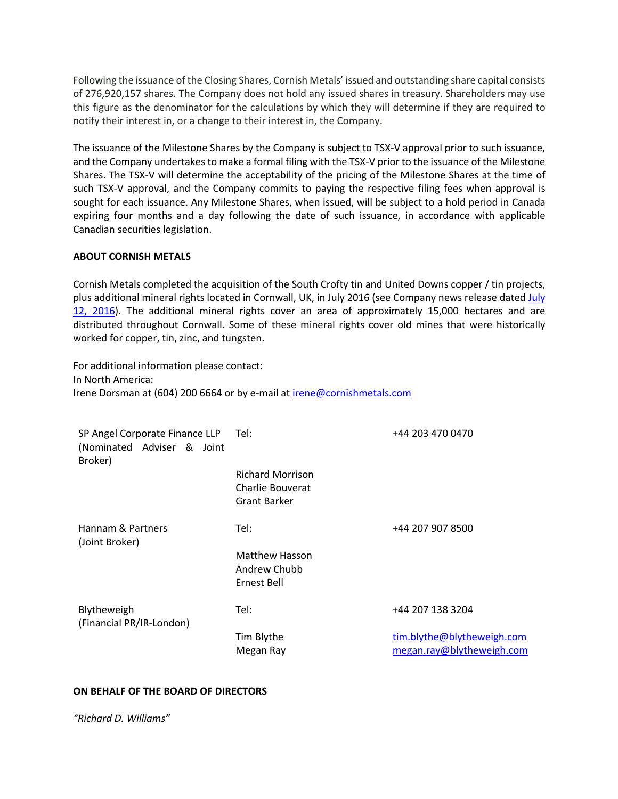Following the issuance of the Closing Shares, Cornish Metals' issued and outstanding share capital consists of 276,920,157 shares. The Company does not hold any issued shares in treasury. Shareholders may use this figure as the denominator for the calculations by which they will determine if they are required to notify their interest in, or a change to their interest in, the Company.

The issuance of the Milestone Shares by the Company is subject to TSX-V approval prior to such issuance, and the Company undertakes to make a formal filing with the TSX-V prior to the issuance of the Milestone Shares. The TSX-V will determine the acceptability of the pricing of the Milestone Shares at the time of such TSX-V approval, and the Company commits to paying the respective filing fees when approval is sought for each issuance. Any Milestone Shares, when issued, will be subject to a hold period in Canada expiring four months and a day following the date of such issuance, in accordance with applicable Canadian securities legislation.

#### **ABOUT CORNISH METALS**

Cornish Metals completed the acquisition of the South Crofty tin and United Downs copper / tin projects, plus additional mineral rights located in Cornwall, UK, in July 2016 (see Company news release dated July 12, 2016). The additional mineral rights cover an area of approximately 15,000 hectares and are distributed throughout Cornwall. Some of these mineral rights cover old mines that were historically worked for copper, tin, zinc, and tungsten.

For additional information please contact: In North America: Irene Dorsman at (604) 200 6664 or by e-mail at irene@cornishmetals.com

| SP Angel Corporate Finance LLP<br>(Nominated Adviser & Joint<br>Broker) | Tel:                                                               | +44 203 470 0470           |
|-------------------------------------------------------------------------|--------------------------------------------------------------------|----------------------------|
|                                                                         | <b>Richard Morrison</b><br>Charlie Bouverat<br><b>Grant Barker</b> |                            |
| Hannam & Partners<br>(Joint Broker)                                     | Tel:                                                               | +44 207 907 8500           |
|                                                                         | <b>Matthew Hasson</b><br>Andrew Chubb<br>Ernest Bell               |                            |
| Blytheweigh<br>(Financial PR/IR-London)                                 | Tel:                                                               | +44 207 138 3204           |
|                                                                         | Tim Blythe                                                         | tim.blythe@blytheweigh.com |
|                                                                         | Megan Ray                                                          | megan.ray@blytheweigh.com  |

#### **ON BEHALF OF THE BOARD OF DIRECTORS**

*"Richard D. Williams"*